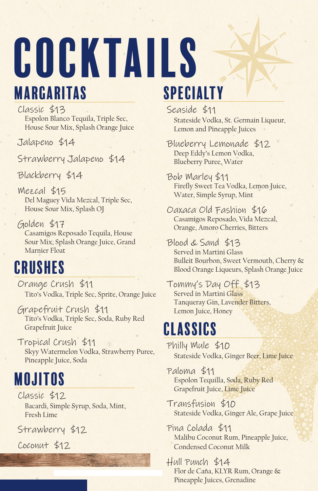# Cocktails Margaritas

Classic \$13 Espolon Blanco Tequila, Triple Sec, House Sour Mix, Splash Orange Juice

Jalapeno \$14

Strawberry Jalapeno \$14

Blackberry \$14

Mezcal \$15 Del Maguey Vida Mezcal, Triple Sec, House Sour Mix, Splash OJ

Golden \$17 Casamigos Reposado Tequila, House Sour Mix, Splash Orange Juice, Grand Marnier Float

#### Crushes

Orange Crush \$11 Tito's Vodka, Triple Sec, Sprite, Orange Juice

Grapefruit Crush \$11 Tito's Vodka, Triple Sec, Soda, Ruby Red Grapefruit Juice

Tropical Crush \$11 Skyy Watermelon Vodka, Strawberry Puree, Pineapple Juice, Soda

## Mojitos

Classic \$12 Bacardi, Simple Syrup, Soda, Mint, Fresh Lime

Strawberry \$12

Coconut \$12

# Specialty

Seaside \$11 Stateside Vodka, St. Germain Liqueur, Lemon and Pineapple Juices

Blueberry Lemonade \$12 Deep Eddy's Lemon Vodka, Blueberry Puree, Water

Bob Marley \$11 Firefly Sweet Tea Vodka, Lemon Juice, Water, Simple Syrup, Mint

Oaxaca Old Fashion \$16 Casamigos Reposado, Vida Mezcal, Orange, Amoro Cherries, Bitters

Blood & Sand \$13 Served in Martini Glass Bulleit Bourbon, Sweet Vermouth, Cherry &

Blood Orange Liqueurs, Splash Orange Juice

Tommy's Day Off \$13 Served in Martini Glass Tanqueray Gin, Lavender Bitters, Lemon Juice, Honey

#### Classics

Philly Mule \$10 Stateside Vodka, Ginger Beer, Lime Juice

Paloma \$11 Espolon Tequilla, Soda, Ruby Red Grapefruit Juice, Lime Juice

Transfusion \$10 Stateside Vodka, Ginger Ale, Grape Juice

Pina Colada \$11 Malibu Coconut Rum, Pineapple Juice, Condensed Coconut Milk

Hull Punch \$14 Flor de Caña, KLYR Rum, Orange & Pineapple Juices, Grenadine